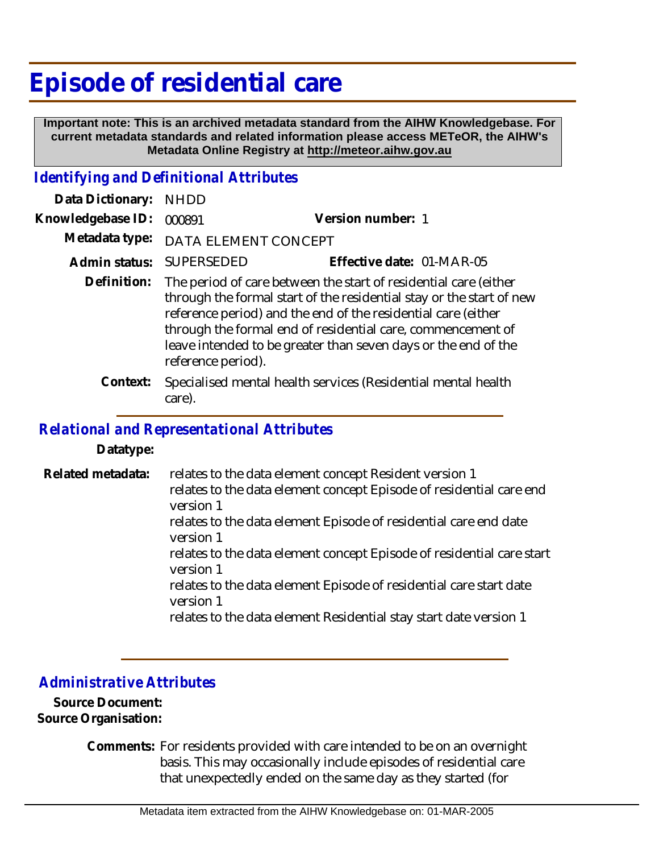## **Episode of residential care**

 **Important note: This is an archived metadata standard from the AIHW Knowledgebase. For current metadata standards and related information please access METeOR, the AIHW's Metadata Online Registry at http://meteor.aihw.gov.au**

## *Identifying and Definitional Attributes*

| Data Dictionary:  | <b>NHDD</b>                                                                                                                                                                                                                                                                                                                                                      |                                                               |
|-------------------|------------------------------------------------------------------------------------------------------------------------------------------------------------------------------------------------------------------------------------------------------------------------------------------------------------------------------------------------------------------|---------------------------------------------------------------|
| Knowledgebase ID: | 000891                                                                                                                                                                                                                                                                                                                                                           | Version number: 1                                             |
| Metadata type:    | DATA ELEMENT CONCEPT                                                                                                                                                                                                                                                                                                                                             |                                                               |
| Admin status:     | <b>SUPERSEDED</b>                                                                                                                                                                                                                                                                                                                                                | Effective date: 01-MAR-05                                     |
| Definition:       | The period of care between the start of residential care (either<br>through the formal start of the residential stay or the start of new<br>reference period) and the end of the residential care (either<br>through the formal end of residential care, commencement of<br>leave intended to be greater than seven days or the end of the<br>reference period). |                                                               |
| Context:          | care).                                                                                                                                                                                                                                                                                                                                                           | Specialised mental health services (Residential mental health |

## *Relational and Representational Attributes*

**Datatype:**

relates to the data element concept Resident version 1 relates to the data element concept Episode of residential care end version 1 relates to the data element Episode of residential care end date version 1 relates to the data element concept Episode of residential care start version 1 relates to the data element Episode of residential care start date version 1 relates to the data element Residential stay start date version 1 **Related metadata:**

## *Administrative Attributes*

**Source Document: Source Organisation:**

> Comments: For residents provided with care intended to be on an overnight basis. This may occasionally include episodes of residential care that unexpectedly ended on the same day as they started (for